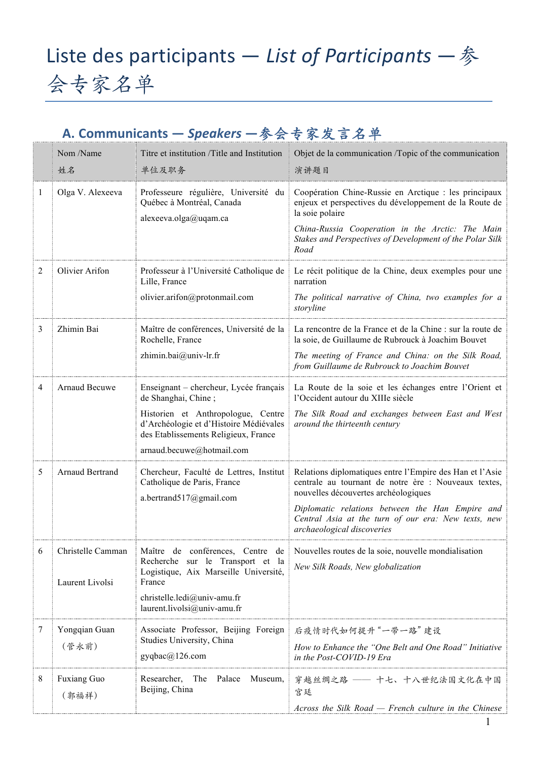## Liste des participants – List of Participants – 参 会专家名单

## **A. Communicants —** *Speakers* **—**参会专家发⾔名单

|   | Nom /Name<br>姓名                      | Titre et institution /Title and Institution<br>单位及职务                                                                                                                                                               | Objet de la communication /Topic of the communication<br>演讲题目                                                                                                                                                                                                                                    |
|---|--------------------------------------|--------------------------------------------------------------------------------------------------------------------------------------------------------------------------------------------------------------------|--------------------------------------------------------------------------------------------------------------------------------------------------------------------------------------------------------------------------------------------------------------------------------------------------|
| 1 | Olga V. Alexeeva                     | Professeure régulière, Université du<br>Québec à Montréal, Canada<br>alexeeva.olga@uqam.ca                                                                                                                         | Coopération Chine-Russie en Arctique : les principaux<br>enjeux et perspectives du développement de la Route de<br>la soie polaire<br>China-Russia Cooperation in the Arctic: The Main<br>Stakes and Perspectives of Development of the Polar Silk<br>Road                                       |
| 2 | Olivier Arifon                       | Professeur à l'Université Catholique de<br>Lille, France<br>olivier.arifon@protonmail.com                                                                                                                          | Le récit politique de la Chine, deux exemples pour une<br>narration<br>The political narrative of China, two examples for a<br>storyline                                                                                                                                                         |
| 3 | Zhimin Bai                           | Maître de conférences, Université de la<br>Rochelle, France<br>zhimin.bai@univ-lr.fr                                                                                                                               | La rencontre de la France et de la Chine : sur la route de<br>la soie, de Guillaume de Rubrouck à Joachim Bouvet<br>The meeting of France and China: on the Silk Road,<br>from Guillaume de Rubrouck to Joachim Bouvet                                                                           |
| 4 | Arnaud Becuwe                        | Enseignant - chercheur, Lycée français<br>de Shanghai, Chine;<br>Historien et Anthropologue, Centre<br>d'Archéologie et d'Histoire Médiévales<br>des Etablissements Religieux, France<br>arnaud.becuwe@hotmail.com | La Route de la soie et les échanges entre l'Orient et<br>l'Occident autour du XIIIe siècle<br>The Silk Road and exchanges between East and West<br>around the thirteenth century                                                                                                                 |
| 5 | Arnaud Bertrand                      | Chercheur, Faculté de Lettres, Institut<br>Catholique de Paris, France<br>a.bertrand517@gmail.com                                                                                                                  | Relations diplomatiques entre l'Empire des Han et l'Asie<br>centrale au tournant de notre ère : Nouveaux textes,<br>nouvelles découvertes archéologiques<br>Diplomatic relations between the Han Empire and<br>Central Asia at the turn of our era: New texts, new<br>archaeological discoveries |
| 6 | Christelle Camman<br>Laurent Livolsi | Maître de conférences, Centre de<br>Recherche sur le Transport et la<br>Logistique, Aix Marseille Université,<br>France<br>christelle.ledi@univ-amu.fr<br>laurent.livolsi@univ-amu.fr                              | Nouvelles routes de la soie, nouvelle mondialisation<br>New Silk Roads, New globalization                                                                                                                                                                                                        |
| 7 | Yongqian Guan<br>(管永前)               | Associate Professor, Beijing Foreign<br>Studies University, China<br>gyqbac@126.com                                                                                                                                | 后疫情时代如何提升"一带一路"建设<br>How to Enhance the "One Belt and One Road" Initiative<br>in the Post-COVID-19 Era                                                                                                                                                                                           |
| 8 | Fuxiang Guo<br>(郭福祥)                 | The<br>Palace<br>Researcher,<br>Museum,<br>Beijing, China                                                                                                                                                          | 穿越丝绸之路 –– 十七、十八世纪法国文化在中国<br>宫廷<br>Across the Silk Road $-$ French culture in the Chinese                                                                                                                                                                                                         |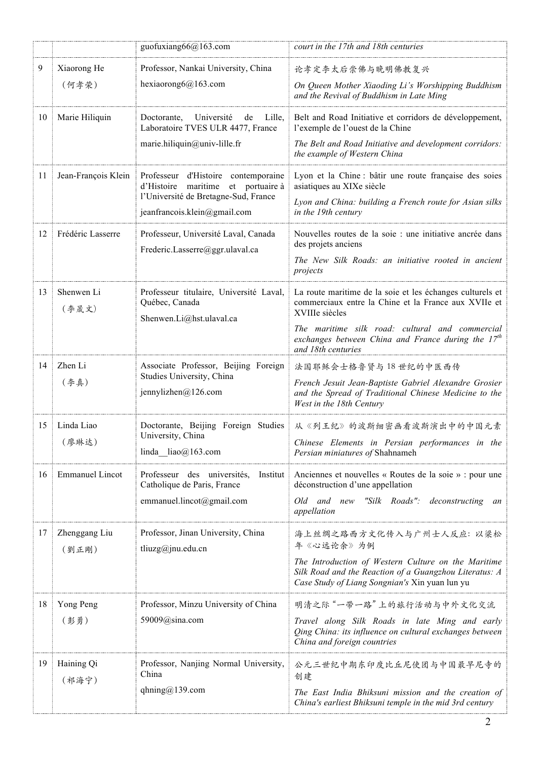|    |                        | guofuxiang66@163.com                                                                                                                                 | court in the 17th and 18th centuries                                                                                                                                                                                                                                 |
|----|------------------------|------------------------------------------------------------------------------------------------------------------------------------------------------|----------------------------------------------------------------------------------------------------------------------------------------------------------------------------------------------------------------------------------------------------------------------|
| 9  | Xiaorong He<br>(何孝荣)   | Professor, Nankai University, China<br>hexiaorong $6@163$ .com                                                                                       | 论孝定李太后崇佛与晚明佛教复兴<br>On Queen Mother Xiaoding Li's Worshipping Buddhism<br>and the Revival of Buddhism in Late Ming                                                                                                                                                    |
| 10 | Marie Hiliquin         | Lille,<br>Université<br>de<br>Doctorante,<br>Laboratoire TVES ULR 4477, France<br>marie.hiliquin@univ-lille.fr                                       | Belt and Road Initiative et corridors de développement,<br>l'exemple de l'ouest de la Chine<br>The Belt and Road Initiative and development corridors:<br>the example of Western China                                                                               |
| 11 | Jean-François Klein    | Professeur d'Histoire contemporaine<br>maritime et portuaire à<br>d'Histoire<br>l'Université de Bretagne-Sud, France<br>jeanfrancois.klein@gmail.com | Lyon et la Chine : bâtir une route française des soies<br>asiatiques au XIXe siècle<br>Lyon and China: building a French route for Asian silks<br>in the 19th century                                                                                                |
| 12 | Frédéric Lasserre      | Professeur, Université Laval, Canada<br>Frederic.Lasserre@ggr.ulaval.ca                                                                              | Nouvelles routes de la soie : une initiative ancrée dans<br>des projets anciens<br>The New Silk Roads: an initiative rooted in ancient<br>projects                                                                                                                   |
| 13 | Shenwen Li<br>(李晟文)    | Professeur titulaire, Université Laval,<br>Québec, Canada<br>Shenwen.Li@hst.ulaval.ca                                                                | La route maritime de la soie et les échanges culturels et<br>commerciaux entre la Chine et la France aux XVIIe et<br>XVIIIe siècles<br>The maritime silk road: cultural and commercial<br>exchanges between China and France during the $17th$<br>and 18th centuries |
| 14 | Zhen Li<br>(李真)        | Associate Professor, Beijing Foreign<br>Studies University, China<br>jennylizhen $@126$ .com                                                         | 法国耶稣会士格鲁贤与18世纪的中医西传<br>French Jesuit Jean-Baptiste Gabriel Alexandre Grosier<br>and the Spread of Traditional Chinese Medicine to the<br>West in the 18th Century                                                                                                    |
| 15 | Linda Liao<br>(廖琳达)    | Doctorante, Beijing Foreign Studies<br>University, China<br>linda $\text{liao}(a)$ 163.com                                                           | 从《列王纪》的波斯细密画看波斯演出中的中国元素<br>Chinese Elements in Persian performances in the<br>Persian miniatures of Shahnameh                                                                                                                                                        |
| 16 | <b>Emmanuel Lincot</b> | Professeur des universités,<br>Institut<br>Catholique de Paris, France<br>emmanuel.lincot@gmail.com                                                  | Anciennes et nouvelles « Routes de la soie » : pour une<br>déconstruction d'une appellation<br>"Silk Roads": deconstructing<br>Old and new<br>an<br>appellation                                                                                                      |
| 17 | Zhenggang Liu<br>(劉正剛) | Professor, Jinan University, China<br>tliuzg@jnu.edu.cn                                                                                              | 海上丝绸之路西方文化传入与广州士人反应: 以梁松<br>年《心远论余》为例<br>The Introduction of Western Culture on the Maritime<br>Silk Road and the Reaction of a Guangzhou Literatus: A<br>Case Study of Liang Songnian's Xin yuan lun yu                                                             |
| 18 | Yong Peng<br>(彭勇)      | Professor, Minzu University of China<br>59009@sina.com                                                                                               | 明清之际"一带一路"上的旅行活动与中外文化交流<br>Travel along Silk Roads in late Ming and early<br>Qing China: its influence on cultural exchanges between<br>China and foreign countries                                                                                                  |
| 19 | Haining Qi<br>(祁海宁)    | Professor, Nanjing Normal University,<br>China<br>qhning@139.com                                                                                     | 公元三世纪中期东印度比丘尼使团与中国最早尼寺的<br>创建<br>The East India Bhiksuni mission and the creation of<br>China's earliest Bhiksuni temple in the mid 3rd century                                                                                                                      |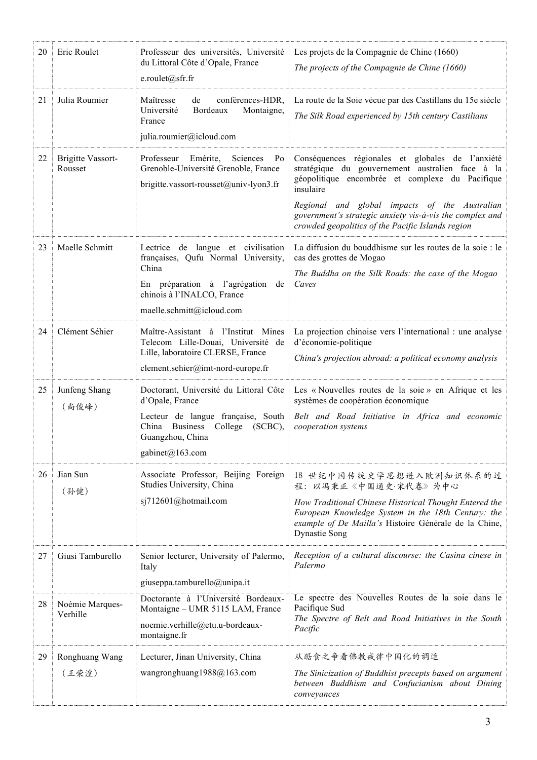| 20 | Eric Roulet                         | Professeur des universités, Université<br>du Littoral Côte d'Opale, France<br>e.roulet@sfr.fr                                                                                               | Les projets de la Compagnie de Chine (1660)<br>The projects of the Compagnie de Chine (1660)                                                                                                                                                                                                                                           |
|----|-------------------------------------|---------------------------------------------------------------------------------------------------------------------------------------------------------------------------------------------|----------------------------------------------------------------------------------------------------------------------------------------------------------------------------------------------------------------------------------------------------------------------------------------------------------------------------------------|
| 21 | Julia Roumier                       | Maîtresse<br>conférences-HDR,<br>de<br>Université<br>Bordeaux<br>Montaigne,<br>France<br>julia.roumier@icloud.com                                                                           | La route de la Soie vécue par des Castillans du 15e siècle<br>The Silk Road experienced by 15th century Castilians                                                                                                                                                                                                                     |
| 22 | <b>Brigitte Vassort-</b><br>Rousset | Emérite,<br>Sciences<br>P <sub>o</sub><br>Professeur<br>Grenoble-Université Grenoble, France<br>brigitte.vassort-rousset@univ-lyon3.fr                                                      | Conséquences régionales et globales de l'anxiété<br>stratégique du gouvernement australien face à la<br>géopolitique encombrée et complexe du Pacifique<br>insulaire<br>Regional and global impacts of the Australian<br>government's strategic anxiety vis-à-vis the complex and<br>crowded geopolitics of the Pacific Islands region |
| 23 | Maelle Schmitt                      | Lectrice de langue et civilisation<br>françaises, Qufu Normal University,<br>China<br>En préparation à l'agrégation de<br>chinois à l'INALCO, France<br>maelle.schmitt@icloud.com           | La diffusion du bouddhisme sur les routes de la soie : le<br>cas des grottes de Mogao<br>The Buddha on the Silk Roads: the case of the Mogao<br>Caves                                                                                                                                                                                  |
| 24 | Clément Séhier                      | Maître-Assistant à l'Institut Mines<br>Telecom Lille-Douai, Université de<br>Lille, laboratoire CLERSE, France<br>clement.sehier@imt-nord-europe.fr                                         | La projection chinoise vers l'international : une analyse<br>d'économie-politique<br>China's projection abroad: a political economy analysis                                                                                                                                                                                           |
| 25 | Junfeng Shang<br>(尚俊峰)              | Doctorant, Université du Littoral Côte<br>d'Opale, France<br>Lecteur de langue française, South<br><b>Business</b><br>College<br>China<br>$(SCBC)$ ,<br>Guangzhou, China<br>gabinet@163.com | Les « Nouvelles routes de la soie » en Afrique et les<br>systèmes de coopération économique<br>Belt and Road Initiative in Africa and economic<br>cooperation systems                                                                                                                                                                  |
| 26 | Jian Sun<br>(孙健)                    | Associate Professor, Beijing Foreign<br>Studies University, China<br>sj712601@hotmail.com                                                                                                   | 18 世纪中国传统史学思想进入欧洲知识体系的过<br>程: 以冯秉正《中国通史·宋代卷》为中心<br>How Traditional Chinese Historical Thought Entered the<br>European Knowledge System in the 18th Century: the<br>example of De Mailla's Histoire Générale de la Chine,<br><b>Dynastie Song</b>                                                                                       |
| 27 | Giusi Tamburello                    | Senior lecturer, University of Palermo,<br>Italy<br>giuseppa.tamburello@unipa.it                                                                                                            | Reception of a cultural discourse: the Casina cinese in<br>Palermo                                                                                                                                                                                                                                                                     |
| 28 | Noémie Marques-<br>Verhille         | Doctorante à l'Université Bordeaux-<br>Montaigne - UMR 5115 LAM, France<br>noemie.verhille@etu.u-bordeaux-<br>montaigne.fr                                                                  | Le spectre des Nouvelles Routes de la soie dans le<br>Pacifique Sud<br>The Spectre of Belt and Road Initiatives in the South<br>Pacific                                                                                                                                                                                                |
| 29 | Ronghuang Wang<br>(王荣湟)             | Lecturer, Jinan University, China<br>wangronghuang1988@163.com                                                                                                                              | 从踞食之争看佛教戒律中国化的调适<br>The Sinicization of Buddhist precepts based on argument<br>between Buddhism and Confucianism about Dining<br>conveyances                                                                                                                                                                                           |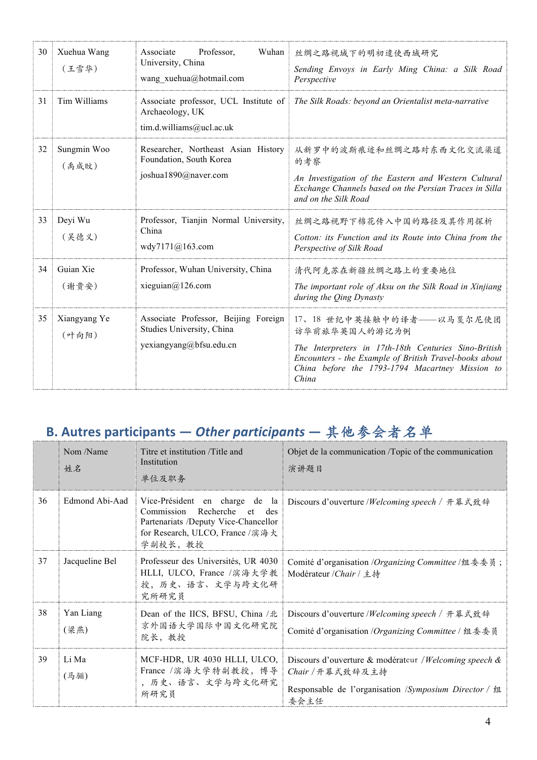| 30 | Xuehua Wang<br>(王雪华)  | Professor,<br>Wuhan<br>Associate<br>University, China<br>wang xuehua@hotmail.com             | 丝绸之路视域下的明初遣使西域研究<br>Sending Envoys in Early Ming China: a Silk Road<br>Perspective                                                                                                                                       |
|----|-----------------------|----------------------------------------------------------------------------------------------|--------------------------------------------------------------------------------------------------------------------------------------------------------------------------------------------------------------------------|
| 31 | Tim Williams          | Archaeology, UK<br>tim.d.williams@ucl.ac.uk                                                  | Associate professor, UCL Institute of   The Silk Roads: beyond an Orientalist meta-narrative                                                                                                                             |
| 32 | Sungmin Woo<br>(禹成旼)  | Researcher, Northeast Asian History<br>Foundation, South Korea<br>joshua1890@naver.com       | 从新罗中的波斯痕迹和丝绸之路对东西文化交流渠道<br>的考察<br>An Investigation of the Eastern and Western Cultural<br>Exchange Channels based on the Persian Traces in Silla<br>and on the Silk Road                                                 |
| 33 | Deyi Wu<br>(吴德义)      | Professor, Tianjin Normal University,<br>China<br>wdy7171@163.com                            | 丝绸之路视野下棉花传入中国的路径及其作用探析<br>Cotton: its Function and its Route into China from the<br>Perspective of Silk Road                                                                                                             |
| 34 | Guian Xie<br>(谢贵安)    | Professor, Wuhan University, China<br>xieguian@126.com                                       | 清代阿克苏在新疆丝绸之路上的重要地位<br>The important role of Aksu on the Silk Road in Xinjiang<br>during the Qing Dynasty                                                                                                                 |
| 35 | Xiangyang Ye<br>(叶向阳) | Associate Professor, Beijing Foreign<br>Studies University, China<br>yexiangyang@bfsu.edu.cn | 17、18 世纪中英接触中的译者——以马戛尔尼使团<br>访华前旅华英国人的游记为例<br>The Interpreters in 17th-18th Centuries Sino-British<br>Encounters - the Example of British Travel-books about<br>China before the 1793-1794 Macartney Mission to<br>China |

## **B. Autres participants** – Other participants – 其他参会者名单

|    | Nom /Name<br>姓名   | Titre et institution /Title and<br>Institution<br>单位及职务                                                                      | Objet de la communication /Topic of the communication<br>演讲题目                                                                               |
|----|-------------------|------------------------------------------------------------------------------------------------------------------------------|---------------------------------------------------------------------------------------------------------------------------------------------|
| 36 | Edmond Abi-Aad    | Recherche<br>Commission<br>et -<br>des<br>Partenariats /Deputy Vice-Chancellor<br>for Research, ULCO, France /滨海大<br>学副校长,教授 | Vice-Président en charge de la Discours d'ouverture /Welcoming speech / 开幕式致辞                                                               |
| 37 | Jacqueline Bel    | Professeur des Universités, UR 4030<br>HLLI, ULCO, France /滨海大学教<br>授,历史、语言、文学与跨文化研<br>究所研究员                                 | Comité d'organisation /Organizing Committee /组委委员;<br>Modérateur /Chair / 主持                                                                |
| 38 | Yan Liang<br>(梁燕) | Dean of the IICS, BFSU, China /北<br>京外国语大学国际中国文化研究院<br>院长,教授                                                                 | Discours d'ouverture /Welcoming speech / 开幕式致辞<br>Comité d'organisation /Organizing Committee / 组委委员                                        |
| 39 | Li Ma<br>(马骊)     | MCF-HDR, UR 4030 HLLI, ULCO,<br>France /滨海大学特副教授, 博导<br>, 历史、语言、文学与跨文化研究<br>所研究员                                             | Discours d'ouverture & modérateur / Welcoming speech &<br>Chair / 开幕式致辞及主持<br>Responsable de l'organisation /Symposium Director / 组<br>委会主任 |